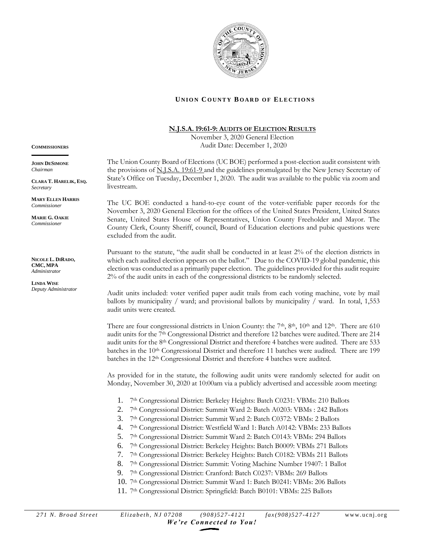

## **UNION COUNTY BOARD OF ELECTIONS**

## **N.J.S.A.19:61-9: AUDITS OF ELECTION RESULTS**

November 3, 2020 General Election Audit Date: December 1, 2020

The Union County Board of Elections (UC BOE) performed a post-election audit consistent with the provisions of N.J.S.A. 19:61-9 and the guidelines promulgated by the New Jersey Secretary of State's Office on Tuesday, December 1, 2020. The audit was available to the public via zoom and livestream.

The UC BOE conducted a hand-to-eye count of the voter-verifiable paper records for the November 3, 2020 General Election for the offices of the United States President, United States Senate, United States House of Representatives, Union County Freeholder and Mayor. The County Clerk, County Sheriff, council, Board of Education elections and pubic questions were excluded from the audit.

Pursuant to the statute, "the audit shall be conducted in at least 2% of the election districts in which each audited election appears on the ballot." Due to the COVID-19 global pandemic, this election was conducted as a primarily paper election. The guidelines provided for this audit require 2% of the audit units in each of the congressional districts to be randomly selected.

Audit units included: voter verified paper audit trails from each voting machine, vote by mail ballots by municipality / ward; and provisional ballots by municipality / ward. In total, 1,553 audit units were created.

There are four congressional districts in Union County: the  $7<sup>th</sup>$ ,  $8<sup>th</sup>$ ,  $10<sup>th</sup>$  and  $12<sup>th</sup>$ . There are 610 audit units for the 7th Congressional District and therefore 12 batches were audited. There are 214 audit units for the 8th Congressional District and therefore 4 batches were audited. There are 533 batches in the 10th Congressional District and therefore 11 batches were audited. There are 199 batches in the 12th Congressional District and therefore 4 batches were audited.

As provided for in the statute, the following audit units were randomly selected for audit on Monday, November 30, 2020 at 10:00am via a publicly advertised and accessible zoom meeting:

- 1. 7<sup>th</sup> Congressional District: Berkeley Heights: Batch C0231: VBMs: 210 Ballots
- 2. 7<sup>th</sup> Congressional District: Summit Ward 2: Batch A0203: VBMs : 242 Ballots
- 3. 7<sup>th</sup> Congressional District: Summit Ward 2: Batch C0372: VBMs: 2 Ballots
- 4. 7<sup>th</sup> Congressional District: Westfield Ward 1: Batch A0142: VBMs: 233 Ballots
- 5. 7<sup>th</sup> Congressional District: Summit Ward 2: Batch C0143: VBMs: 294 Ballots
- 6. 7<sup>th</sup> Congressional District: Berkeley Heights: Batch B0009: VBMs 271 Ballots
- 7. 7 th Congressional District: Berkeley Heights: Batch C0182: VBMs 211 Ballots
- 8. 7<sup>th</sup> Congressional District: Summit: Voting Machine Number 19407: 1 Ballot
- 9. 7<sup>th</sup> Congressional District: Cranford: Batch C0237: VBMs: 269 Ballots
- 10. 7 th Congressional District: Summit Ward 1: Batch B0241: VBMs: 206 Ballots
- 11. 7<sup>th</sup> Congressional District: Springfield: Batch B0101: VBMs: 225 Ballots

**COMMISSIONERS \_\_\_\_\_\_\_\_\_\_\_\_\_\_\_**

**JOHN DESIMONE** *Chairman*

**CLARA T. HARELIK, ESQ.** *Secretary* 

**MARY ELLEN HARRIS** *Commissioner*

**MARIE G. OAKIE** *Commissioner*

**NICOLE L. DIRADO, CMC, MPA** *Administrator*

**LINDA WISE** *Deputy Administrator*